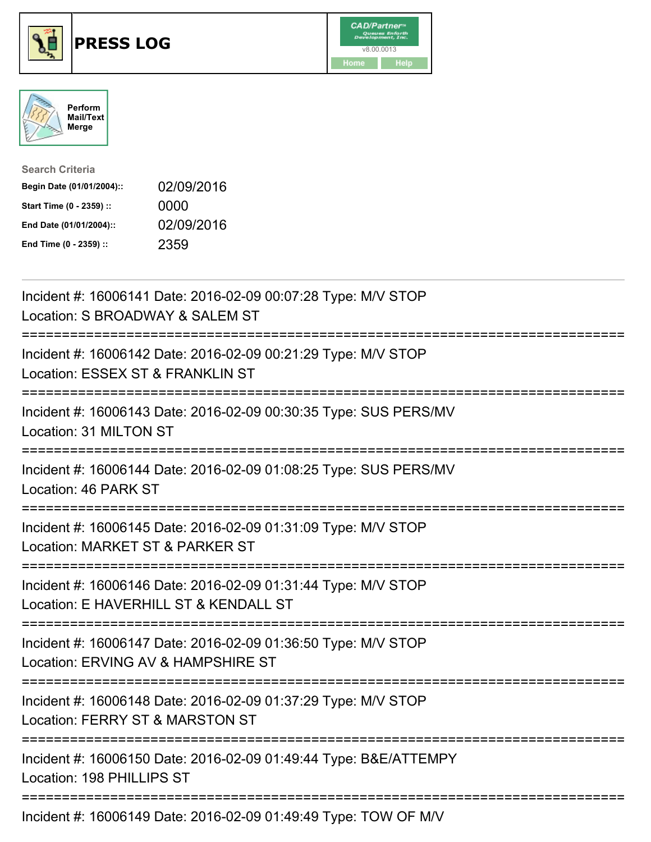





| <b>Search Criteria</b>    |            |
|---------------------------|------------|
| Begin Date (01/01/2004):: | 02/09/2016 |
| Start Time (0 - 2359) ::  | 0000       |
| End Date (01/01/2004)::   | 02/09/2016 |
| End Time (0 - 2359) ::    | 2359       |

| Incident #: 16006141 Date: 2016-02-09 00:07:28 Type: M/V STOP<br>Location: S BROADWAY & SALEM ST                                                                                                                  |
|-------------------------------------------------------------------------------------------------------------------------------------------------------------------------------------------------------------------|
| Incident #: 16006142 Date: 2016-02-09 00:21:29 Type: M/V STOP<br>Location: ESSEX ST & FRANKLIN ST<br>:========================                                                                                    |
| Incident #: 16006143 Date: 2016-02-09 00:30:35 Type: SUS PERS/MV<br>Location: 31 MILTON ST<br>=======================                                                                                             |
| Incident #: 16006144 Date: 2016-02-09 01:08:25 Type: SUS PERS/MV<br>Location: 46 PARK ST                                                                                                                          |
| Incident #: 16006145 Date: 2016-02-09 01:31:09 Type: M/V STOP<br>Location: MARKET ST & PARKER ST                                                                                                                  |
| Incident #: 16006146 Date: 2016-02-09 01:31:44 Type: M/V STOP<br>Location: E HAVERHILL ST & KENDALL ST                                                                                                            |
| Incident #: 16006147 Date: 2016-02-09 01:36:50 Type: M/V STOP<br>Location: ERVING AV & HAMPSHIRE ST<br>-------------------                                                                                        |
| Incident #: 16006148 Date: 2016-02-09 01:37:29 Type: M/V STOP<br>Location: FERRY ST & MARSTON ST                                                                                                                  |
| Incident #: 16006150 Date: 2016-02-09 01:49:44 Type: B&E/ATTEMPY<br>Location: 198 PHILLIPS ST                                                                                                                     |
| $L_{\text{c}}$ ; $L_{\text{c}}$ , $L_{\text{c}}$ , $A \cap A \cap A$ , $A \cap D$ , $L_{\text{c}}$ , $A \cap A \cap A \cap A$ , $A \cap A \cap A$ , $A \cap T$ , $L_{\text{c}}$ , $T \cap M \cap C \cap M \cap L$ |

Incident #: 16006149 Date: 2016-02-09 01:49:49 Type: TOW OF M/V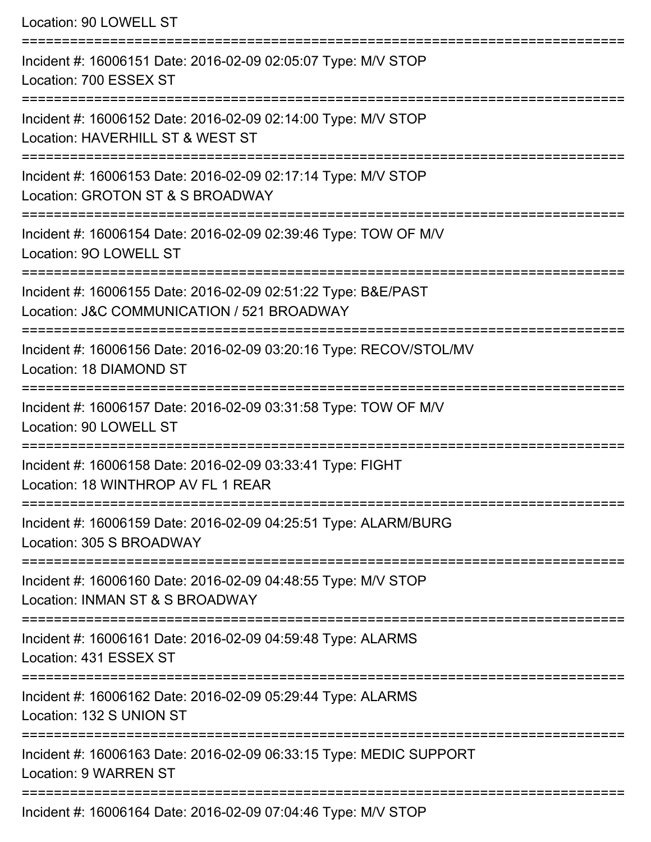Location: 90 LOWELL ST =========================================================================== Incident #: 16006151 Date: 2016-02-09 02:05:07 Type: M/V STOP Location: 700 ESSEX ST =========================================================================== Incident #: 16006152 Date: 2016-02-09 02:14:00 Type: M/V STOP Location: HAVERHILL ST & WEST ST =========================================================================== Incident #: 16006153 Date: 2016-02-09 02:17:14 Type: M/V STOP Location: GROTON ST & S BROADWAY =========================================================================== Incident #: 16006154 Date: 2016-02-09 02:39:46 Type: TOW OF M/V Location: 9O LOWELL ST ======================= Incident #: 16006155 Date: 2016-02-09 02:51:22 Type: B&E/PAST Location: J&C COMMUNICATION / 521 BROADWAY =========================================================================== Incident #: 16006156 Date: 2016-02-09 03:20:16 Type: RECOV/STOL/MV Location: 18 DIAMOND ST =========================================================================== Incident #: 16006157 Date: 2016-02-09 03:31:58 Type: TOW OF M/V Location: 90 LOWELL ST =========================================================================== Incident #: 16006158 Date: 2016-02-09 03:33:41 Type: FIGHT Location: 18 WINTHROP AV FL 1 REAR =========================================================================== Incident #: 16006159 Date: 2016-02-09 04:25:51 Type: ALARM/BURG Location: 305 S BROADWAY =========================================================================== Incident #: 16006160 Date: 2016-02-09 04:48:55 Type: M/V STOP Location: INMAN ST & S BROADWAY =========================================================================== Incident #: 16006161 Date: 2016-02-09 04:59:48 Type: ALARMS Location: 431 ESSEX ST =========================================================================== Incident #: 16006162 Date: 2016-02-09 05:29:44 Type: ALARMS Location: 132 S UNION ST =========================================================================== Incident #: 16006163 Date: 2016-02-09 06:33:15 Type: MEDIC SUPPORT Location: 9 WARREN ST ===========================================================================

Incident #: 16006164 Date: 2016-02-09 07:04:46 Type: M/V STOP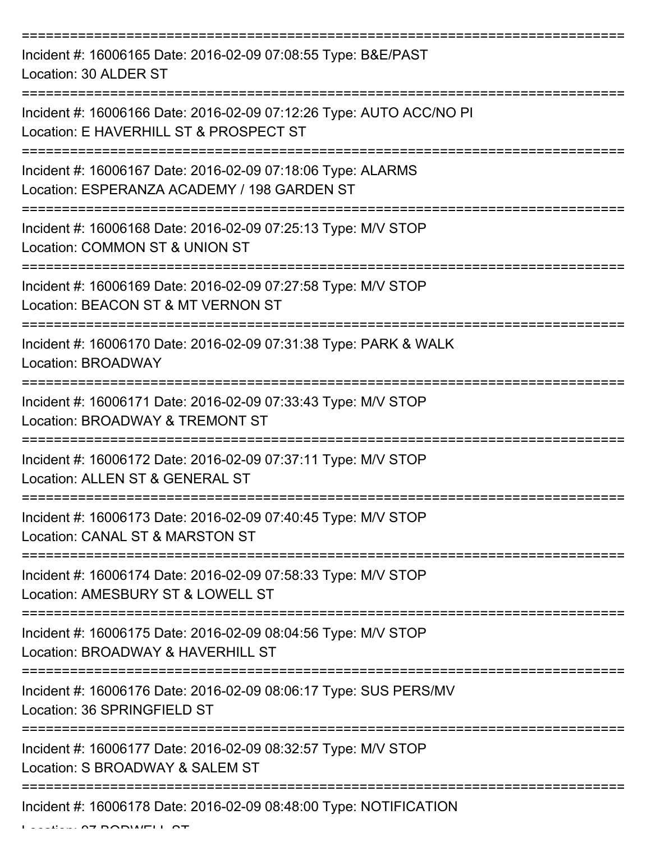| Incident #: 16006165 Date: 2016-02-09 07:08:55 Type: B&E/PAST<br>Location: 30 ALDER ST                        |
|---------------------------------------------------------------------------------------------------------------|
| Incident #: 16006166 Date: 2016-02-09 07:12:26 Type: AUTO ACC/NO PI<br>Location: E HAVERHILL ST & PROSPECT ST |
| Incident #: 16006167 Date: 2016-02-09 07:18:06 Type: ALARMS<br>Location: ESPERANZA ACADEMY / 198 GARDEN ST    |
| Incident #: 16006168 Date: 2016-02-09 07:25:13 Type: M/V STOP<br>Location: COMMON ST & UNION ST               |
| Incident #: 16006169 Date: 2016-02-09 07:27:58 Type: M/V STOP<br>Location: BEACON ST & MT VERNON ST           |
| Incident #: 16006170 Date: 2016-02-09 07:31:38 Type: PARK & WALK<br>Location: BROADWAY                        |
| Incident #: 16006171 Date: 2016-02-09 07:33:43 Type: M/V STOP<br>Location: BROADWAY & TREMONT ST              |
| Incident #: 16006172 Date: 2016-02-09 07:37:11 Type: M/V STOP<br>Location: ALLEN ST & GENERAL ST              |
| Incident #: 16006173 Date: 2016-02-09 07:40:45 Type: M/V STOP<br>Location: CANAL ST & MARSTON ST              |
| Incident #: 16006174 Date: 2016-02-09 07:58:33 Type: M/V STOP<br>Location: AMESBURY ST & LOWELL ST            |
| Incident #: 16006175 Date: 2016-02-09 08:04:56 Type: M/V STOP<br>Location: BROADWAY & HAVERHILL ST            |
| Incident #: 16006176 Date: 2016-02-09 08:06:17 Type: SUS PERS/MV<br>Location: 36 SPRINGFIELD ST               |
| Incident #: 16006177 Date: 2016-02-09 08:32:57 Type: M/V STOP<br>Location: S BROADWAY & SALEM ST              |
| Incident #: 16006178 Date: 2016-02-09 08:48:00 Type: NOTIFICATION                                             |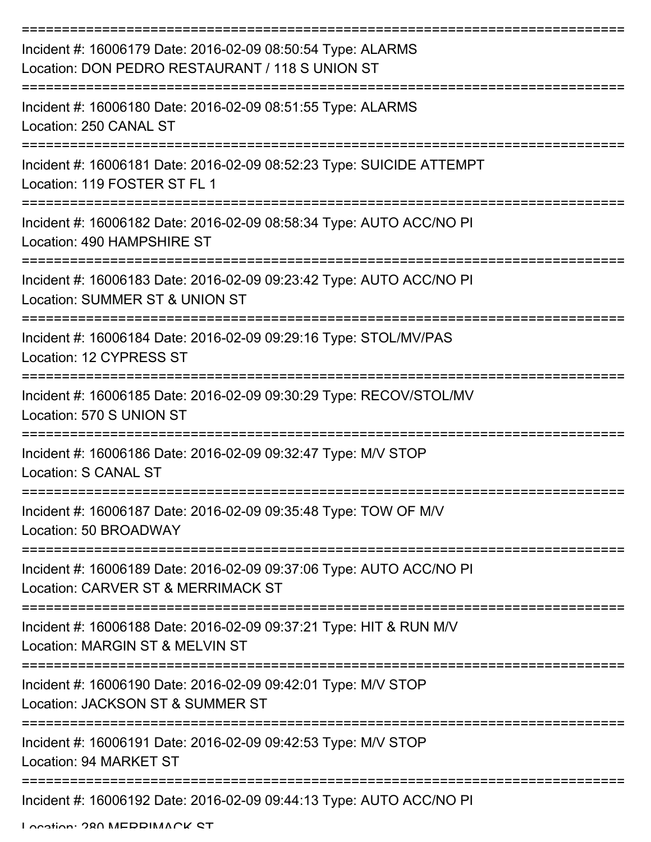| Incident #: 16006179 Date: 2016-02-09 08:50:54 Type: ALARMS<br>Location: DON PEDRO RESTAURANT / 118 S UNION ST |
|----------------------------------------------------------------------------------------------------------------|
| Incident #: 16006180 Date: 2016-02-09 08:51:55 Type: ALARMS<br>Location: 250 CANAL ST                          |
| Incident #: 16006181 Date: 2016-02-09 08:52:23 Type: SUICIDE ATTEMPT<br>Location: 119 FOSTER ST FL 1           |
| Incident #: 16006182 Date: 2016-02-09 08:58:34 Type: AUTO ACC/NO PI<br>Location: 490 HAMPSHIRE ST              |
| Incident #: 16006183 Date: 2016-02-09 09:23:42 Type: AUTO ACC/NO PI<br>Location: SUMMER ST & UNION ST          |
| Incident #: 16006184 Date: 2016-02-09 09:29:16 Type: STOL/MV/PAS<br>Location: 12 CYPRESS ST                    |
| Incident #: 16006185 Date: 2016-02-09 09:30:29 Type: RECOV/STOL/MV<br>Location: 570 S UNION ST                 |
| Incident #: 16006186 Date: 2016-02-09 09:32:47 Type: M/V STOP<br>Location: S CANAL ST                          |
| Incident #: 16006187 Date: 2016-02-09 09:35:48 Type: TOW OF M/V<br>Location: 50 BROADWAY                       |
| Incident #: 16006189 Date: 2016-02-09 09:37:06 Type: AUTO ACC/NO PI<br>Location: CARVER ST & MERRIMACK ST      |
| Incident #: 16006188 Date: 2016-02-09 09:37:21 Type: HIT & RUN M/V<br>Location: MARGIN ST & MELVIN ST          |
| Incident #: 16006190 Date: 2016-02-09 09:42:01 Type: M/V STOP<br>Location: JACKSON ST & SUMMER ST              |
| Incident #: 16006191 Date: 2016-02-09 09:42:53 Type: M/V STOP<br>Location: 94 MARKET ST                        |
| Incident #: 16006192 Date: 2016-02-09 09:44:13 Type: AUTO ACC/NO PI                                            |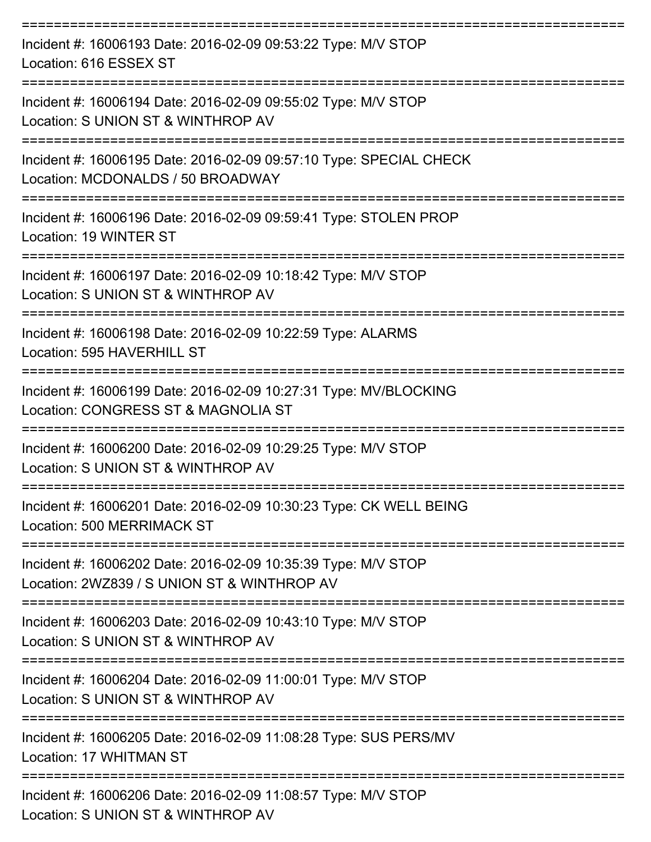| Incident #: 16006193 Date: 2016-02-09 09:53:22 Type: M/V STOP<br>Location: 616 ESSEX ST                      |
|--------------------------------------------------------------------------------------------------------------|
| Incident #: 16006194 Date: 2016-02-09 09:55:02 Type: M/V STOP<br>Location: S UNION ST & WINTHROP AV          |
| Incident #: 16006195 Date: 2016-02-09 09:57:10 Type: SPECIAL CHECK<br>Location: MCDONALDS / 50 BROADWAY      |
| Incident #: 16006196 Date: 2016-02-09 09:59:41 Type: STOLEN PROP<br>Location: 19 WINTER ST                   |
| Incident #: 16006197 Date: 2016-02-09 10:18:42 Type: M/V STOP<br>Location: S UNION ST & WINTHROP AV          |
| Incident #: 16006198 Date: 2016-02-09 10:22:59 Type: ALARMS<br>Location: 595 HAVERHILL ST                    |
| Incident #: 16006199 Date: 2016-02-09 10:27:31 Type: MV/BLOCKING<br>Location: CONGRESS ST & MAGNOLIA ST      |
| Incident #: 16006200 Date: 2016-02-09 10:29:25 Type: M/V STOP<br>Location: S UNION ST & WINTHROP AV          |
| Incident #: 16006201 Date: 2016-02-09 10:30:23 Type: CK WELL BEING<br>Location: 500 MERRIMACK ST             |
| Incident #: 16006202 Date: 2016-02-09 10:35:39 Type: M/V STOP<br>Location: 2WZ839 / S UNION ST & WINTHROP AV |
| Incident #: 16006203 Date: 2016-02-09 10:43:10 Type: M/V STOP<br>Location: S UNION ST & WINTHROP AV          |
| Incident #: 16006204 Date: 2016-02-09 11:00:01 Type: M/V STOP<br>Location: S UNION ST & WINTHROP AV          |
| Incident #: 16006205 Date: 2016-02-09 11:08:28 Type: SUS PERS/MV<br>Location: 17 WHITMAN ST                  |
| Incident #: 16006206 Date: 2016-02-09 11:08:57 Type: M/V STOP<br>Location: S UNION ST & WINTHROP AV          |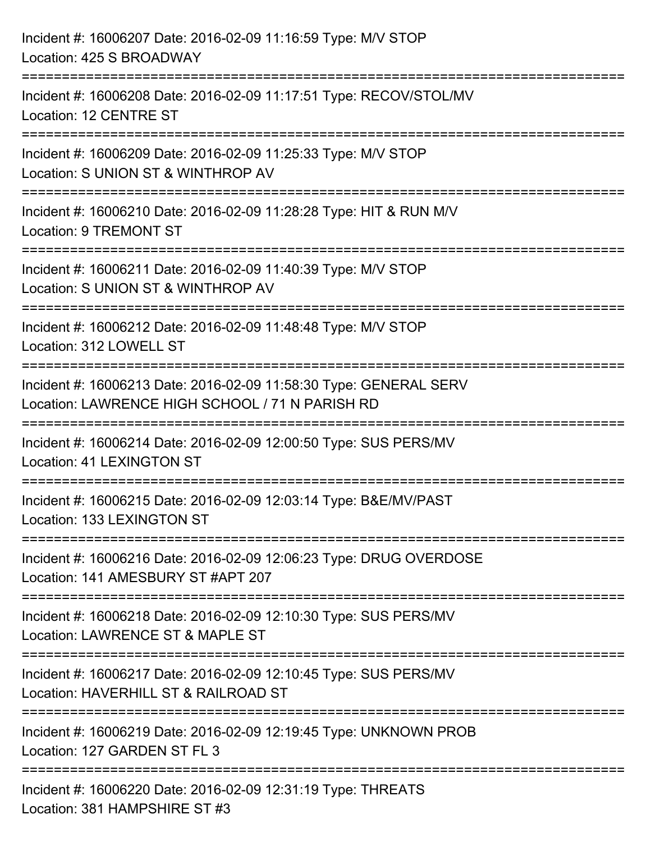| Incident #: 16006207 Date: 2016-02-09 11:16:59 Type: M/V STOP<br>Location: 425 S BROADWAY                                            |
|--------------------------------------------------------------------------------------------------------------------------------------|
| ====================================<br>Incident #: 16006208 Date: 2016-02-09 11:17:51 Type: RECOV/STOL/MV<br>Location: 12 CENTRE ST |
| -------------------<br>Incident #: 16006209 Date: 2016-02-09 11:25:33 Type: M/V STOP<br>Location: S UNION ST & WINTHROP AV           |
| Incident #: 16006210 Date: 2016-02-09 11:28:28 Type: HIT & RUN M/V<br>Location: 9 TREMONT ST                                         |
| Incident #: 16006211 Date: 2016-02-09 11:40:39 Type: M/V STOP<br>Location: S UNION ST & WINTHROP AV                                  |
| Incident #: 16006212 Date: 2016-02-09 11:48:48 Type: M/V STOP<br>Location: 312 LOWELL ST                                             |
| Incident #: 16006213 Date: 2016-02-09 11:58:30 Type: GENERAL SERV<br>Location: LAWRENCE HIGH SCHOOL / 71 N PARISH RD                 |
| Incident #: 16006214 Date: 2016-02-09 12:00:50 Type: SUS PERS/MV<br><b>Location: 41 LEXINGTON ST</b>                                 |
| Incident #: 16006215 Date: 2016-02-09 12:03:14 Type: B&E/MV/PAST<br>Location: 133 LEXINGTON ST                                       |
| Incident #: 16006216 Date: 2016-02-09 12:06:23 Type: DRUG OVERDOSE<br>Location: 141 AMESBURY ST #APT 207                             |
| Incident #: 16006218 Date: 2016-02-09 12:10:30 Type: SUS PERS/MV<br>Location: LAWRENCE ST & MAPLE ST                                 |
| Incident #: 16006217 Date: 2016-02-09 12:10:45 Type: SUS PERS/MV<br>Location: HAVERHILL ST & RAILROAD ST                             |
| Incident #: 16006219 Date: 2016-02-09 12:19:45 Type: UNKNOWN PROB<br>Location: 127 GARDEN ST FL 3                                    |
| Incident #: 16006220 Date: 2016-02-09 12:31:19 Type: THREATS<br>Location: 381 HAMPSHIRE ST #3                                        |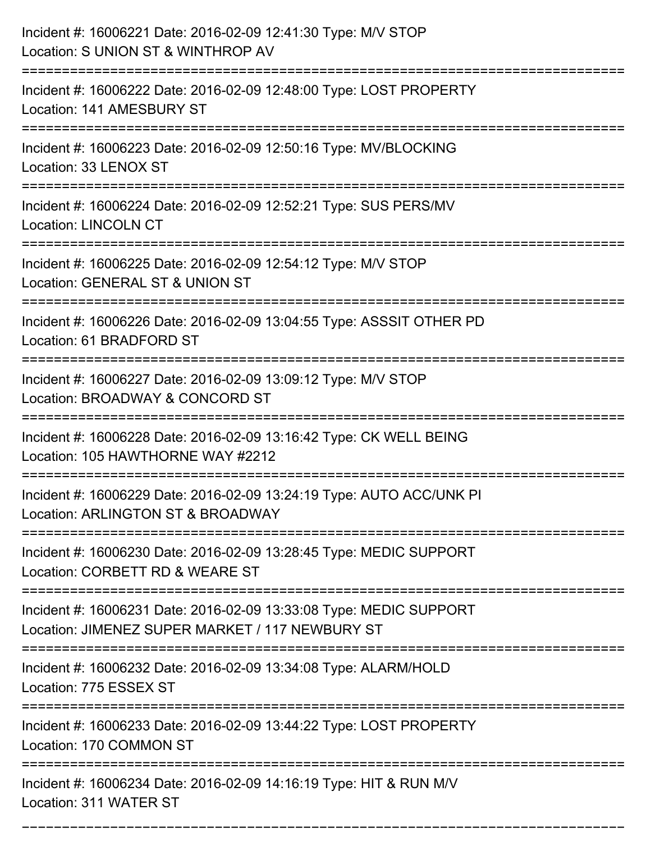| Incident #: 16006221 Date: 2016-02-09 12:41:30 Type: M/V STOP<br>Location: S UNION ST & WINTHROP AV                                     |
|-----------------------------------------------------------------------------------------------------------------------------------------|
| Incident #: 16006222 Date: 2016-02-09 12:48:00 Type: LOST PROPERTY<br>Location: 141 AMESBURY ST                                         |
| Incident #: 16006223 Date: 2016-02-09 12:50:16 Type: MV/BLOCKING<br>Location: 33 LENOX ST                                               |
| Incident #: 16006224 Date: 2016-02-09 12:52:21 Type: SUS PERS/MV<br><b>Location: LINCOLN CT</b>                                         |
| Incident #: 16006225 Date: 2016-02-09 12:54:12 Type: M/V STOP<br>Location: GENERAL ST & UNION ST<br>=================================== |
| Incident #: 16006226 Date: 2016-02-09 13:04:55 Type: ASSSIT OTHER PD<br>Location: 61 BRADFORD ST                                        |
| Incident #: 16006227 Date: 2016-02-09 13:09:12 Type: M/V STOP<br>Location: BROADWAY & CONCORD ST                                        |
| Incident #: 16006228 Date: 2016-02-09 13:16:42 Type: CK WELL BEING<br>Location: 105 HAWTHORNE WAY #2212                                 |
| Incident #: 16006229 Date: 2016-02-09 13:24:19 Type: AUTO ACC/UNK PI<br>Location: ARLINGTON ST & BROADWAY                               |
| Incident #: 16006230 Date: 2016-02-09 13:28:45 Type: MEDIC SUPPORT<br>Location: CORBETT RD & WEARE ST                                   |
| Incident #: 16006231 Date: 2016-02-09 13:33:08 Type: MEDIC SUPPORT<br>Location: JIMENEZ SUPER MARKET / 117 NEWBURY ST                   |
| Incident #: 16006232 Date: 2016-02-09 13:34:08 Type: ALARM/HOLD<br>Location: 775 ESSEX ST                                               |
| Incident #: 16006233 Date: 2016-02-09 13:44:22 Type: LOST PROPERTY<br>Location: 170 COMMON ST                                           |
| _____________________<br>Incident #: 16006234 Date: 2016-02-09 14:16:19 Type: HIT & RUN M/V<br>Location: 311 WATER ST                   |

===========================================================================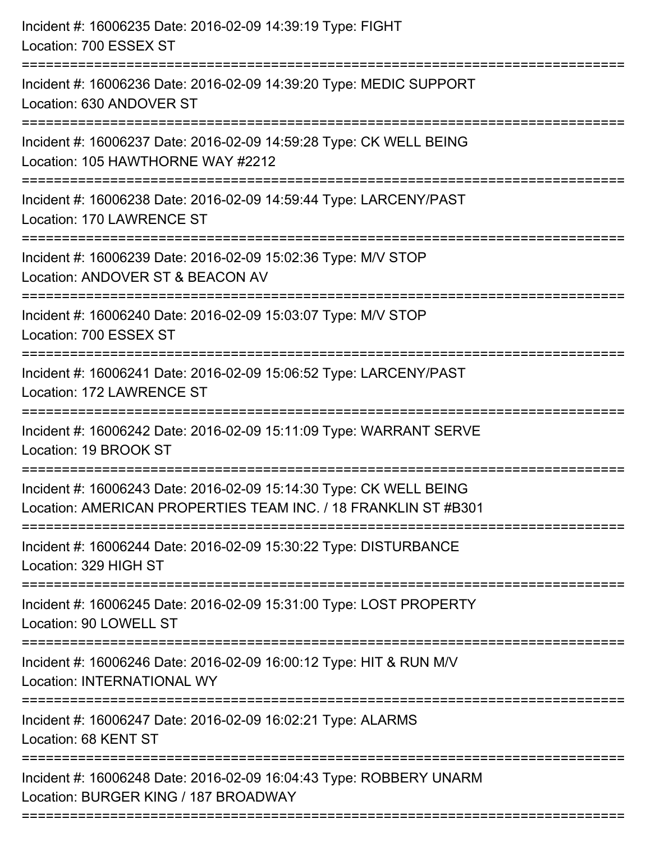| Incident #: 16006235 Date: 2016-02-09 14:39:19 Type: FIGHT<br>Location: 700 ESSEX ST                                                                                                  |
|---------------------------------------------------------------------------------------------------------------------------------------------------------------------------------------|
| Incident #: 16006236 Date: 2016-02-09 14:39:20 Type: MEDIC SUPPORT<br>Location: 630 ANDOVER ST                                                                                        |
| Incident #: 16006237 Date: 2016-02-09 14:59:28 Type: CK WELL BEING<br>Location: 105 HAWTHORNE WAY #2212<br>====================================<br>================================== |
| Incident #: 16006238 Date: 2016-02-09 14:59:44 Type: LARCENY/PAST<br>Location: 170 LAWRENCE ST                                                                                        |
| Incident #: 16006239 Date: 2016-02-09 15:02:36 Type: M/V STOP<br>Location: ANDOVER ST & BEACON AV<br>:============                                                                    |
| Incident #: 16006240 Date: 2016-02-09 15:03:07 Type: M/V STOP<br>Location: 700 ESSEX ST                                                                                               |
| Incident #: 16006241 Date: 2016-02-09 15:06:52 Type: LARCENY/PAST<br>Location: 172 LAWRENCE ST                                                                                        |
| Incident #: 16006242 Date: 2016-02-09 15:11:09 Type: WARRANT SERVE<br>Location: 19 BROOK ST                                                                                           |
| Incident #: 16006243 Date: 2016-02-09 15:14:30 Type: CK WELL BEING<br>Location: AMERICAN PROPERTIES TEAM INC. / 18 FRANKLIN ST #B301                                                  |
| Incident #: 16006244 Date: 2016-02-09 15:30:22 Type: DISTURBANCE<br>Location: 329 HIGH ST                                                                                             |
| Incident #: 16006245 Date: 2016-02-09 15:31:00 Type: LOST PROPERTY<br>Location: 90 LOWELL ST                                                                                          |
| Incident #: 16006246 Date: 2016-02-09 16:00:12 Type: HIT & RUN M/V<br>Location: INTERNATIONAL WY                                                                                      |
| Incident #: 16006247 Date: 2016-02-09 16:02:21 Type: ALARMS<br>Location: 68 KENT ST                                                                                                   |
| Incident #: 16006248 Date: 2016-02-09 16:04:43 Type: ROBBERY UNARM<br>Location: BURGER KING / 187 BROADWAY                                                                            |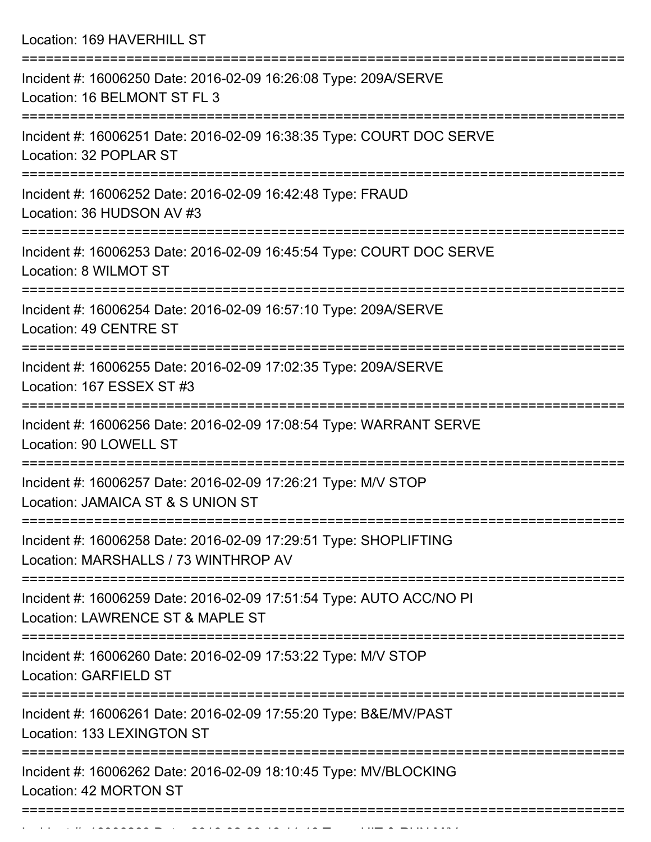Location: 169 HAVERHILL ST

| Incident #: 16006250 Date: 2016-02-09 16:26:08 Type: 209A/SERVE<br>Location: 16 BELMONT ST FL 3          |
|----------------------------------------------------------------------------------------------------------|
| Incident #: 16006251 Date: 2016-02-09 16:38:35 Type: COURT DOC SERVE<br>Location: 32 POPLAR ST           |
| Incident #: 16006252 Date: 2016-02-09 16:42:48 Type: FRAUD<br>Location: 36 HUDSON AV #3                  |
| Incident #: 16006253 Date: 2016-02-09 16:45:54 Type: COURT DOC SERVE<br>Location: 8 WILMOT ST            |
| Incident #: 16006254 Date: 2016-02-09 16:57:10 Type: 209A/SERVE<br>Location: 49 CENTRE ST                |
| Incident #: 16006255 Date: 2016-02-09 17:02:35 Type: 209A/SERVE<br>Location: 167 ESSEX ST #3             |
| Incident #: 16006256 Date: 2016-02-09 17:08:54 Type: WARRANT SERVE<br>Location: 90 LOWELL ST             |
| Incident #: 16006257 Date: 2016-02-09 17:26:21 Type: M/V STOP<br>Location: JAMAICA ST & S UNION ST       |
| Incident #: 16006258 Date: 2016-02-09 17:29:51 Type: SHOPLIFTING<br>Location: MARSHALLS / 73 WINTHROP AV |
| Incident #: 16006259 Date: 2016-02-09 17:51:54 Type: AUTO ACC/NO PI<br>Location: LAWRENCE ST & MAPLE ST  |
| Incident #: 16006260 Date: 2016-02-09 17:53:22 Type: M/V STOP<br><b>Location: GARFIELD ST</b>            |
| Incident #: 16006261 Date: 2016-02-09 17:55:20 Type: B&E/MV/PAST<br>Location: 133 LEXINGTON ST           |
| Incident #: 16006262 Date: 2016-02-09 18:10:45 Type: MV/BLOCKING<br>Location: 42 MORTON ST               |
|                                                                                                          |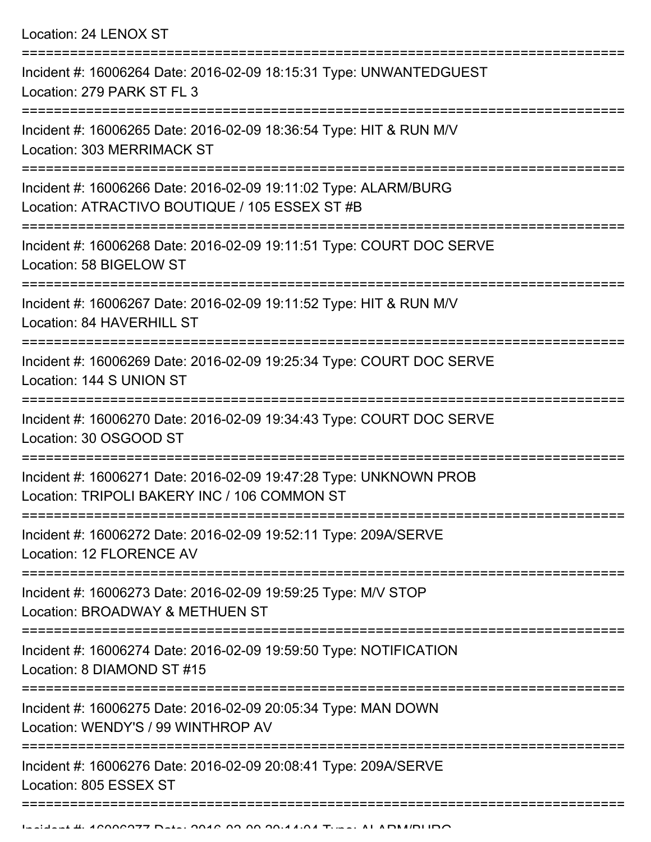Location: 24 LENOX ST =========================================================================== Incident #: 16006264 Date: 2016-02-09 18:15:31 Type: UNWANTEDGUEST Location: 279 PARK ST FL 3 =========================================================================== Incident #: 16006265 Date: 2016-02-09 18:36:54 Type: HIT & RUN M/V Location: 303 MERRIMACK ST =========================================================================== Incident #: 16006266 Date: 2016-02-09 19:11:02 Type: ALARM/BURG Location: ATRACTIVO BOUTIQUE / 105 ESSEX ST #B =========================================================================== Incident #: 16006268 Date: 2016-02-09 19:11:51 Type: COURT DOC SERVE Location: 58 BIGELOW ST =========================================================================== Incident #: 16006267 Date: 2016-02-09 19:11:52 Type: HIT & RUN M/V Location: 84 HAVERHILL ST =========================================================================== Incident #: 16006269 Date: 2016-02-09 19:25:34 Type: COURT DOC SERVE Location: 144 S UNION ST =========================================================================== Incident #: 16006270 Date: 2016-02-09 19:34:43 Type: COURT DOC SERVE Location: 30 OSGOOD ST =========================================================================== Incident #: 16006271 Date: 2016-02-09 19:47:28 Type: UNKNOWN PROB Location: TRIPOLI BAKERY INC / 106 COMMON ST =========================================================================== Incident #: 16006272 Date: 2016-02-09 19:52:11 Type: 209A/SERVE Location: 12 FLORENCE AV =========================================================================== Incident #: 16006273 Date: 2016-02-09 19:59:25 Type: M/V STOP Location: BROADWAY & METHUEN ST =========================================================================== Incident #: 16006274 Date: 2016-02-09 19:59:50 Type: NOTIFICATION Location: 8 DIAMOND ST #15 =========================================================================== Incident #: 16006275 Date: 2016-02-09 20:05:34 Type: MAN DOWN Location: WENDY'S / 99 WINTHROP AV =========================================================================== Incident #: 16006276 Date: 2016-02-09 20:08:41 Type: 209A/SERVE

Location: 805 ESSEX ST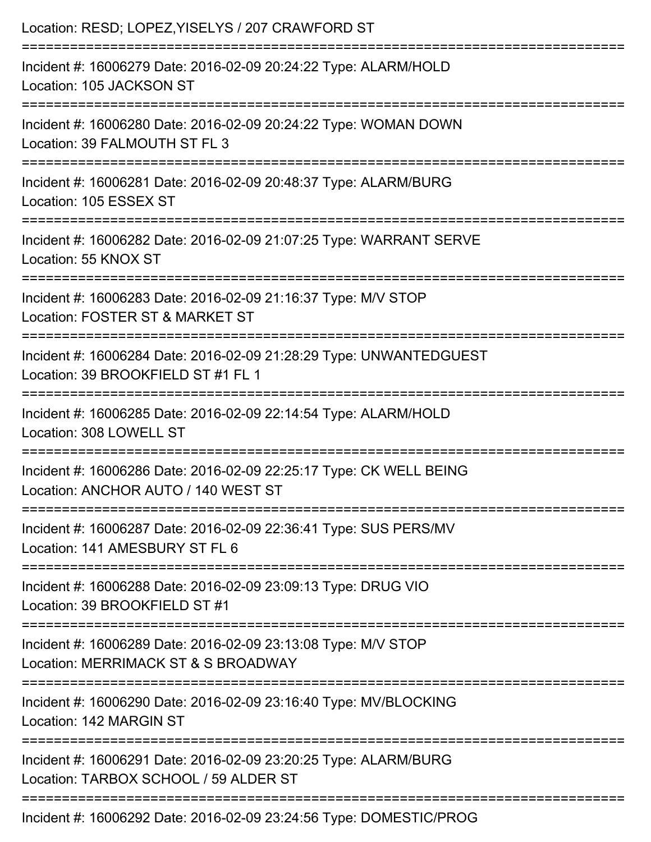| Location: RESD; LOPEZ, YISELYS / 207 CRAWFORD ST                                                          |
|-----------------------------------------------------------------------------------------------------------|
| Incident #: 16006279 Date: 2016-02-09 20:24:22 Type: ALARM/HOLD<br>Location: 105 JACKSON ST               |
| Incident #: 16006280 Date: 2016-02-09 20:24:22 Type: WOMAN DOWN<br>Location: 39 FALMOUTH ST FL 3          |
| Incident #: 16006281 Date: 2016-02-09 20:48:37 Type: ALARM/BURG<br>Location: 105 ESSEX ST                 |
| Incident #: 16006282 Date: 2016-02-09 21:07:25 Type: WARRANT SERVE<br>Location: 55 KNOX ST                |
| Incident #: 16006283 Date: 2016-02-09 21:16:37 Type: M/V STOP<br>Location: FOSTER ST & MARKET ST          |
| Incident #: 16006284 Date: 2016-02-09 21:28:29 Type: UNWANTEDGUEST<br>Location: 39 BROOKFIELD ST #1 FL 1  |
| Incident #: 16006285 Date: 2016-02-09 22:14:54 Type: ALARM/HOLD<br>Location: 308 LOWELL ST                |
| Incident #: 16006286 Date: 2016-02-09 22:25:17 Type: CK WELL BEING<br>Location: ANCHOR AUTO / 140 WEST ST |
| Incident #: 16006287 Date: 2016-02-09 22:36:41 Type: SUS PERS/MV<br>Location: 141 AMESBURY ST FL 6        |
| Incident #: 16006288 Date: 2016-02-09 23:09:13 Type: DRUG VIO<br>Location: 39 BROOKFIELD ST #1            |
| Incident #: 16006289 Date: 2016-02-09 23:13:08 Type: M/V STOP<br>Location: MERRIMACK ST & S BROADWAY      |
| Incident #: 16006290 Date: 2016-02-09 23:16:40 Type: MV/BLOCKING<br>Location: 142 MARGIN ST               |
| Incident #: 16006291 Date: 2016-02-09 23:20:25 Type: ALARM/BURG<br>Location: TARBOX SCHOOL / 59 ALDER ST  |
| Incident #: 16006292 Date: 2016-02-09 23:24:56 Type: DOMESTIC/PROG                                        |